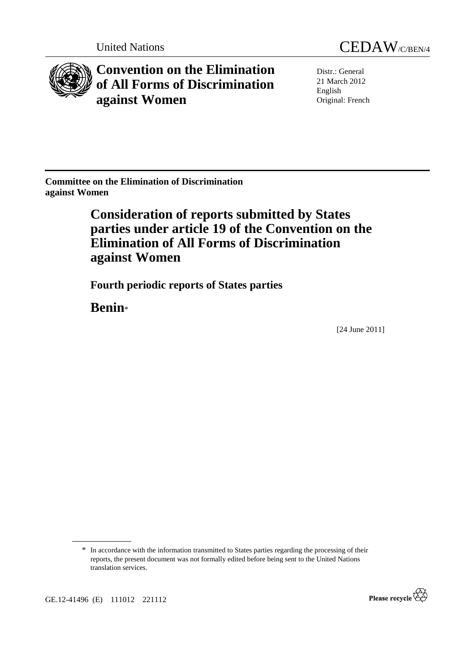

**Convention on the Elimination of All Forms of Discrimination against Women** 



Distr.: General 21 March 2012 English Original: French

**Committee on the Elimination of Discrimination against Women** 

# **Consideration of reports submitted by States parties under article 19 of the Convention on the Elimination of All Forms of Discrimination against Women**

 **Fourth periodic reports of States parties** 

 **Benin**\*

[24 June 2011]



<sup>\*</sup> In accordance with the information transmitted to States parties regarding the processing of their reports, the present document was not formally edited before being sent to the United Nations translation services.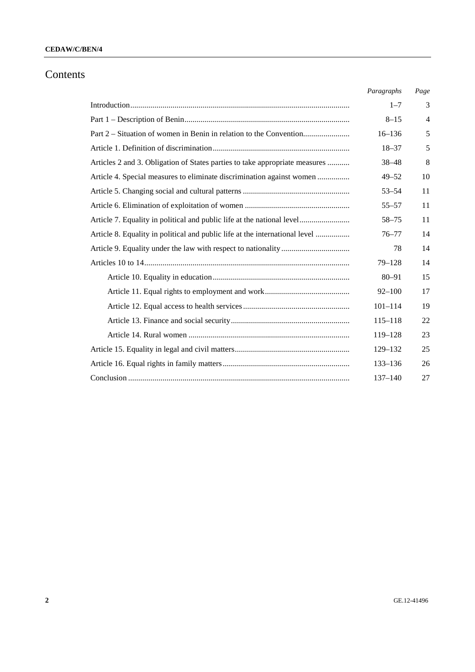# Contents

|                                                                             | Paragraphs  | Page           |
|-----------------------------------------------------------------------------|-------------|----------------|
|                                                                             | $1 - 7$     | 3              |
|                                                                             | $8 - 15$    | $\overline{4}$ |
| Part 2 – Situation of women in Benin in relation to the Convention          | $16 - 136$  | 5              |
|                                                                             | $18 - 37$   | 5              |
| Articles 2 and 3. Obligation of States parties to take appropriate measures | $38 - 48$   | 8              |
| Article 4. Special measures to eliminate discrimination against women       | $49 - 52$   | 10             |
|                                                                             | $53 - 54$   | 11             |
|                                                                             | $55 - 57$   | 11             |
| Article 7. Equality in political and public life at the national level      | $58 - 75$   | 11             |
| Article 8. Equality in political and public life at the international level | $76 - 77$   | 14             |
|                                                                             | 78          | 14             |
|                                                                             | $79 - 128$  | 14             |
|                                                                             | $80 - 91$   | 15             |
|                                                                             | $92 - 100$  | 17             |
|                                                                             | $101 - 114$ | 19             |
|                                                                             | $115 - 118$ | 22             |
|                                                                             | $119 - 128$ | 23             |
|                                                                             | 129-132     | 25             |
|                                                                             | 133-136     | 26             |
|                                                                             | $137 - 140$ | 27             |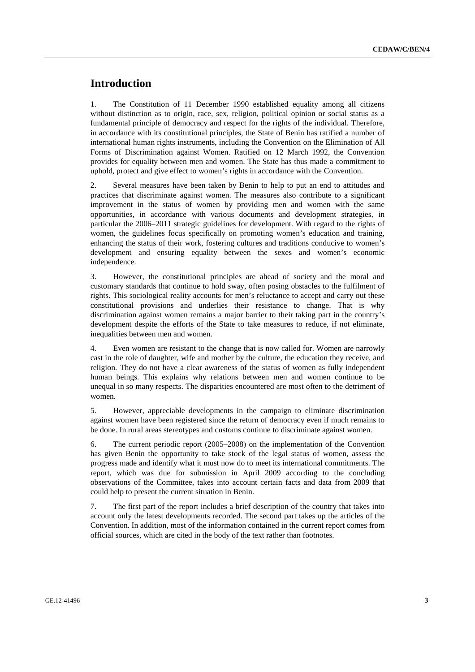# **Introduction**

1. The Constitution of 11 December 1990 established equality among all citizens without distinction as to origin, race, sex, religion, political opinion or social status as a fundamental principle of democracy and respect for the rights of the individual. Therefore, in accordance with its constitutional principles, the State of Benin has ratified a number of international human rights instruments, including the Convention on the Elimination of All Forms of Discrimination against Women. Ratified on 12 March 1992, the Convention provides for equality between men and women. The State has thus made a commitment to uphold, protect and give effect to women's rights in accordance with the Convention.

2. Several measures have been taken by Benin to help to put an end to attitudes and practices that discriminate against women. The measures also contribute to a significant improvement in the status of women by providing men and women with the same opportunities, in accordance with various documents and development strategies, in particular the 2006–2011 strategic guidelines for development. With regard to the rights of women, the guidelines focus specifically on promoting women's education and training, enhancing the status of their work, fostering cultures and traditions conducive to women's development and ensuring equality between the sexes and women's economic independence.

3. However, the constitutional principles are ahead of society and the moral and customary standards that continue to hold sway, often posing obstacles to the fulfilment of rights. This sociological reality accounts for men's reluctance to accept and carry out these constitutional provisions and underlies their resistance to change. That is why discrimination against women remains a major barrier to their taking part in the country's development despite the efforts of the State to take measures to reduce, if not eliminate, inequalities between men and women.

4. Even women are resistant to the change that is now called for. Women are narrowly cast in the role of daughter, wife and mother by the culture, the education they receive, and religion. They do not have a clear awareness of the status of women as fully independent human beings. This explains why relations between men and women continue to be unequal in so many respects. The disparities encountered are most often to the detriment of women.

5. However, appreciable developments in the campaign to eliminate discrimination against women have been registered since the return of democracy even if much remains to be done. In rural areas stereotypes and customs continue to discriminate against women.

6. The current periodic report (2005–2008) on the implementation of the Convention has given Benin the opportunity to take stock of the legal status of women, assess the progress made and identify what it must now do to meet its international commitments. The report, which was due for submission in April 2009 according to the concluding observations of the Committee, takes into account certain facts and data from 2009 that could help to present the current situation in Benin.

7. The first part of the report includes a brief description of the country that takes into account only the latest developments recorded. The second part takes up the articles of the Convention. In addition, most of the information contained in the current report comes from official sources, which are cited in the body of the text rather than footnotes.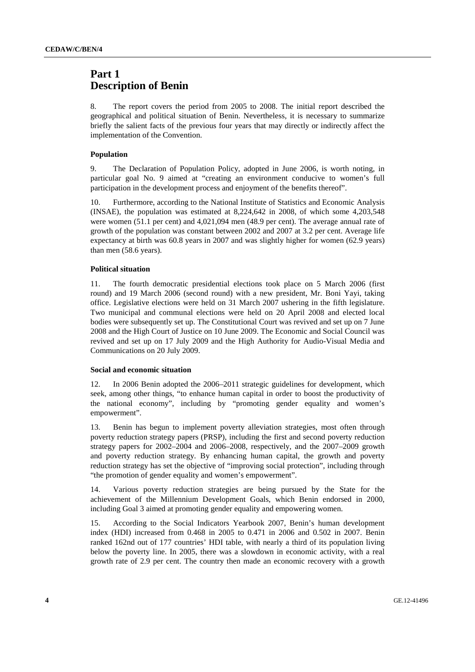# **Part 1 Description of Benin**

8. The report covers the period from 2005 to 2008. The initial report described the geographical and political situation of Benin. Nevertheless, it is necessary to summarize briefly the salient facts of the previous four years that may directly or indirectly affect the implementation of the Convention.

### **Population**

9. The Declaration of Population Policy, adopted in June 2006, is worth noting, in particular goal No. 9 aimed at "creating an environment conducive to women's full participation in the development process and enjoyment of the benefits thereof".

10. Furthermore, according to the National Institute of Statistics and Economic Analysis (INSAE), the population was estimated at 8,224,642 in 2008, of which some 4,203,548 were women (51.1 per cent) and 4,021,094 men (48.9 per cent). The average annual rate of growth of the population was constant between 2002 and 2007 at 3.2 per cent. Average life expectancy at birth was 60.8 years in 2007 and was slightly higher for women (62.9 years) than men (58.6 years).

### **Political situation**

11. The fourth democratic presidential elections took place on 5 March 2006 (first round) and 19 March 2006 (second round) with a new president, Mr. Boni Yayi, taking office. Legislative elections were held on 31 March 2007 ushering in the fifth legislature. Two municipal and communal elections were held on 20 April 2008 and elected local bodies were subsequently set up. The Constitutional Court was revived and set up on 7 June 2008 and the High Court of Justice on 10 June 2009. The Economic and Social Council was revived and set up on 17 July 2009 and the High Authority for Audio-Visual Media and Communications on 20 July 2009.

#### **Social and economic situation**

12. In 2006 Benin adopted the 2006–2011 strategic guidelines for development, which seek, among other things, "to enhance human capital in order to boost the productivity of the national economy", including by "promoting gender equality and women's empowerment".

13. Benin has begun to implement poverty alleviation strategies, most often through poverty reduction strategy papers (PRSP), including the first and second poverty reduction strategy papers for 2002–2004 and 2006–2008, respectively, and the 2007–2009 growth and poverty reduction strategy. By enhancing human capital, the growth and poverty reduction strategy has set the objective of "improving social protection", including through "the promotion of gender equality and women's empowerment".

14. Various poverty reduction strategies are being pursued by the State for the achievement of the Millennium Development Goals, which Benin endorsed in 2000, including Goal 3 aimed at promoting gender equality and empowering women.

15. According to the Social Indicators Yearbook 2007, Benin's human development index (HDI) increased from 0.468 in 2005 to 0.471 in 2006 and 0.502 in 2007. Benin ranked 162nd out of 177 countries' HDI table, with nearly a third of its population living below the poverty line. In 2005, there was a slowdown in economic activity, with a real growth rate of 2.9 per cent. The country then made an economic recovery with a growth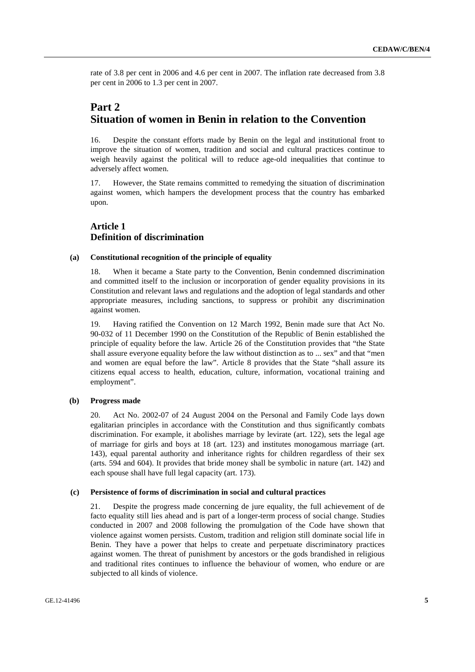rate of 3.8 per cent in 2006 and 4.6 per cent in 2007. The inflation rate decreased from 3.8 per cent in 2006 to 1.3 per cent in 2007.

# **Part 2 Situation of women in Benin in relation to the Convention**

16. Despite the constant efforts made by Benin on the legal and institutional front to improve the situation of women, tradition and social and cultural practices continue to weigh heavily against the political will to reduce age-old inequalities that continue to adversely affect women.

17. However, the State remains committed to remedying the situation of discrimination against women, which hampers the development process that the country has embarked upon.

# **Article 1 Definition of discrimination**

### **(a) Constitutional recognition of the principle of equality**

18. When it became a State party to the Convention, Benin condemned discrimination and committed itself to the inclusion or incorporation of gender equality provisions in its Constitution and relevant laws and regulations and the adoption of legal standards and other appropriate measures, including sanctions, to suppress or prohibit any discrimination against women.

19. Having ratified the Convention on 12 March 1992, Benin made sure that Act No. 90-032 of 11 December 1990 on the Constitution of the Republic of Benin established the principle of equality before the law. Article 26 of the Constitution provides that "the State shall assure everyone equality before the law without distinction as to ... sex" and that "men and women are equal before the law". Article 8 provides that the State "shall assure its citizens equal access to health, education, culture, information, vocational training and employment".

#### **(b) Progress made**

20. Act No. 2002-07 of 24 August 2004 on the Personal and Family Code lays down egalitarian principles in accordance with the Constitution and thus significantly combats discrimination. For example, it abolishes marriage by levirate (art. 122), sets the legal age of marriage for girls and boys at 18 (art. 123) and institutes monogamous marriage (art. 143), equal parental authority and inheritance rights for children regardless of their sex (arts. 594 and 604). It provides that bride money shall be symbolic in nature (art. 142) and each spouse shall have full legal capacity (art. 173).

#### **(c) Persistence of forms of discrimination in social and cultural practices**

21. Despite the progress made concerning de jure equality, the full achievement of de facto equality still lies ahead and is part of a longer-term process of social change. Studies conducted in 2007 and 2008 following the promulgation of the Code have shown that violence against women persists. Custom, tradition and religion still dominate social life in Benin. They have a power that helps to create and perpetuate discriminatory practices against women. The threat of punishment by ancestors or the gods brandished in religious and traditional rites continues to influence the behaviour of women, who endure or are subjected to all kinds of violence.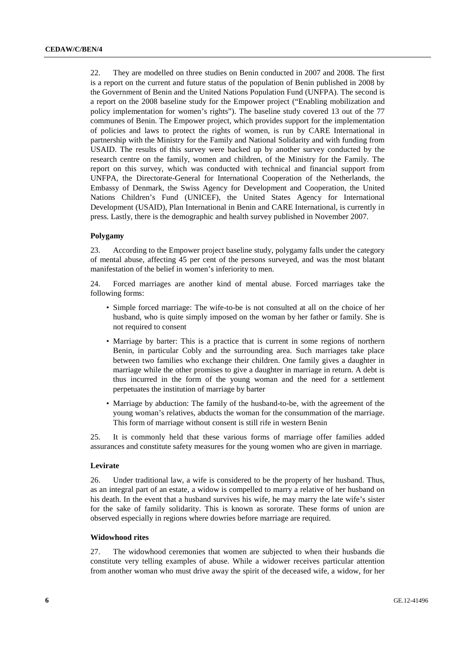22. They are modelled on three studies on Benin conducted in 2007 and 2008. The first is a report on the current and future status of the population of Benin published in 2008 by the Government of Benin and the United Nations Population Fund (UNFPA). The second is a report on the 2008 baseline study for the Empower project ("Enabling mobilization and policy implementation for women's rights"). The baseline study covered 13 out of the 77 communes of Benin. The Empower project, which provides support for the implementation of policies and laws to protect the rights of women, is run by CARE International in partnership with the Ministry for the Family and National Solidarity and with funding from USAID. The results of this survey were backed up by another survey conducted by the research centre on the family, women and children, of the Ministry for the Family. The report on this survey, which was conducted with technical and financial support from UNFPA, the Directorate-General for International Cooperation of the Netherlands, the Embassy of Denmark, the Swiss Agency for Development and Cooperation, the United Nations Children's Fund (UNICEF), the United States Agency for International Development (USAID), Plan International in Benin and CARE International, is currently in press. Lastly, there is the demographic and health survey published in November 2007.

#### **Polygamy**

23. According to the Empower project baseline study, polygamy falls under the category of mental abuse, affecting 45 per cent of the persons surveyed, and was the most blatant manifestation of the belief in women's inferiority to men.

24. Forced marriages are another kind of mental abuse. Forced marriages take the following forms:

- Simple forced marriage: The wife-to-be is not consulted at all on the choice of her husband, who is quite simply imposed on the woman by her father or family. She is not required to consent
- Marriage by barter: This is a practice that is current in some regions of northern Benin, in particular Cobly and the surrounding area. Such marriages take place between two families who exchange their children. One family gives a daughter in marriage while the other promises to give a daughter in marriage in return. A debt is thus incurred in the form of the young woman and the need for a settlement perpetuates the institution of marriage by barter
- Marriage by abduction: The family of the husband-to-be, with the agreement of the young woman's relatives, abducts the woman for the consummation of the marriage. This form of marriage without consent is still rife in western Benin

25. It is commonly held that these various forms of marriage offer families added assurances and constitute safety measures for the young women who are given in marriage.

### **Levirate**

26. Under traditional law, a wife is considered to be the property of her husband. Thus, as an integral part of an estate, a widow is compelled to marry a relative of her husband on his death. In the event that a husband survives his wife, he may marry the late wife's sister for the sake of family solidarity. This is known as sororate. These forms of union are observed especially in regions where dowries before marriage are required.

### **Widowhood rites**

27. The widowhood ceremonies that women are subjected to when their husbands die constitute very telling examples of abuse. While a widower receives particular attention from another woman who must drive away the spirit of the deceased wife, a widow, for her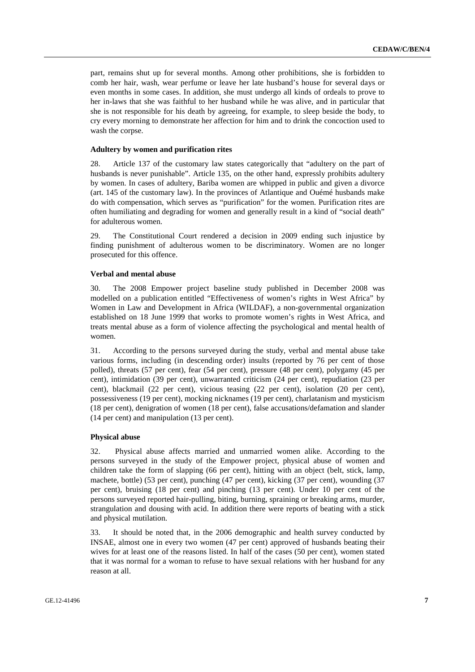part, remains shut up for several months. Among other prohibitions, she is forbidden to comb her hair, wash, wear perfume or leave her late husband's house for several days or even months in some cases. In addition, she must undergo all kinds of ordeals to prove to her in-laws that she was faithful to her husband while he was alive, and in particular that she is not responsible for his death by agreeing, for example, to sleep beside the body, to cry every morning to demonstrate her affection for him and to drink the concoction used to wash the corpse.

#### **Adultery by women and purification rites**

28. Article 137 of the customary law states categorically that "adultery on the part of husbands is never punishable". Article 135, on the other hand, expressly prohibits adultery by women. In cases of adultery, Bariba women are whipped in public and given a divorce (art. 145 of the customary law). In the provinces of Atlantique and Ouémé husbands make do with compensation, which serves as "purification" for the women. Purification rites are often humiliating and degrading for women and generally result in a kind of "social death" for adulterous women.

29. The Constitutional Court rendered a decision in 2009 ending such injustice by finding punishment of adulterous women to be discriminatory. Women are no longer prosecuted for this offence.

#### **Verbal and mental abuse**

30. The 2008 Empower project baseline study published in December 2008 was modelled on a publication entitled "Effectiveness of women's rights in West Africa" by Women in Law and Development in Africa (WILDAF), a non-governmental organization established on 18 June 1999 that works to promote women's rights in West Africa, and treats mental abuse as a form of violence affecting the psychological and mental health of women.

31. According to the persons surveyed during the study, verbal and mental abuse take various forms, including (in descending order) insults (reported by 76 per cent of those polled), threats (57 per cent), fear (54 per cent), pressure (48 per cent), polygamy (45 per cent), intimidation (39 per cent), unwarranted criticism (24 per cent), repudiation (23 per cent), blackmail (22 per cent), vicious teasing (22 per cent), isolation (20 per cent), possessiveness (19 per cent), mocking nicknames (19 per cent), charlatanism and mysticism (18 per cent), denigration of women (18 per cent), false accusations/defamation and slander (14 per cent) and manipulation (13 per cent).

#### **Physical abuse**

32. Physical abuse affects married and unmarried women alike. According to the persons surveyed in the study of the Empower project, physical abuse of women and children take the form of slapping (66 per cent), hitting with an object (belt, stick, lamp, machete, bottle) (53 per cent), punching (47 per cent), kicking (37 per cent), wounding (37 per cent), bruising (18 per cent) and pinching (13 per cent). Under 10 per cent of the persons surveyed reported hair-pulling, biting, burning, spraining or breaking arms, murder, strangulation and dousing with acid. In addition there were reports of beating with a stick and physical mutilation.

33. It should be noted that, in the 2006 demographic and health survey conducted by INSAE, almost one in every two women (47 per cent) approved of husbands beating their wives for at least one of the reasons listed. In half of the cases (50 per cent), women stated that it was normal for a woman to refuse to have sexual relations with her husband for any reason at all.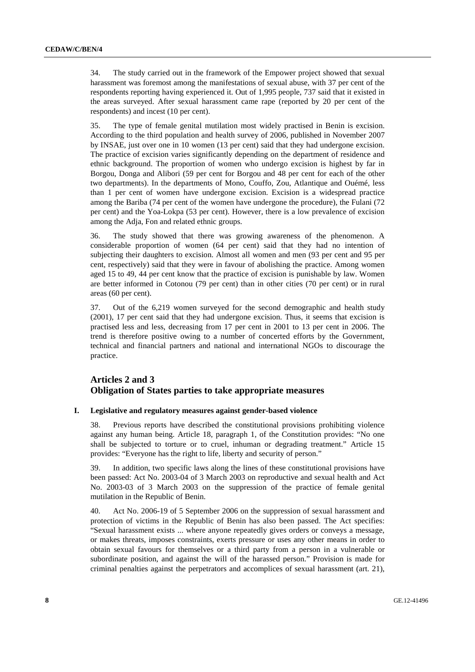34. The study carried out in the framework of the Empower project showed that sexual harassment was foremost among the manifestations of sexual abuse, with 37 per cent of the respondents reporting having experienced it. Out of 1,995 people, 737 said that it existed in the areas surveyed. After sexual harassment came rape (reported by 20 per cent of the respondents) and incest (10 per cent).

35. The type of female genital mutilation most widely practised in Benin is excision. According to the third population and health survey of 2006, published in November 2007 by INSAE, just over one in 10 women (13 per cent) said that they had undergone excision. The practice of excision varies significantly depending on the department of residence and ethnic background. The proportion of women who undergo excision is highest by far in Borgou, Donga and Alibori (59 per cent for Borgou and 48 per cent for each of the other two departments). In the departments of Mono, Couffo, Zou, Atlantique and Ouémé, less than 1 per cent of women have undergone excision. Excision is a widespread practice among the Bariba (74 per cent of the women have undergone the procedure), the Fulani (72 per cent) and the Yoa-Lokpa (53 per cent). However, there is a low prevalence of excision among the Adja, Fon and related ethnic groups.

36. The study showed that there was growing awareness of the phenomenon. A considerable proportion of women (64 per cent) said that they had no intention of subjecting their daughters to excision. Almost all women and men (93 per cent and 95 per cent, respectively) said that they were in favour of abolishing the practice. Among women aged 15 to 49, 44 per cent know that the practice of excision is punishable by law. Women are better informed in Cotonou (79 per cent) than in other cities (70 per cent) or in rural areas (60 per cent).

37. Out of the 6,219 women surveyed for the second demographic and health study (2001), 17 per cent said that they had undergone excision. Thus, it seems that excision is practised less and less, decreasing from 17 per cent in 2001 to 13 per cent in 2006. The trend is therefore positive owing to a number of concerted efforts by the Government, technical and financial partners and national and international NGOs to discourage the practice.

# **Articles 2 and 3 Obligation of States parties to take appropriate measures**

#### **I. Legislative and regulatory measures against gender-based violence**

38. Previous reports have described the constitutional provisions prohibiting violence against any human being. Article 18, paragraph 1, of the Constitution provides: "No one shall be subjected to torture or to cruel, inhuman or degrading treatment." Article 15 provides: "Everyone has the right to life, liberty and security of person."

39. In addition, two specific laws along the lines of these constitutional provisions have been passed: Act No. 2003-04 of 3 March 2003 on reproductive and sexual health and Act No. 2003-03 of 3 March 2003 on the suppression of the practice of female genital mutilation in the Republic of Benin.

40. Act No. 2006-19 of 5 September 2006 on the suppression of sexual harassment and protection of victims in the Republic of Benin has also been passed. The Act specifies: "Sexual harassment exists ... where anyone repeatedly gives orders or conveys a message, or makes threats, imposes constraints, exerts pressure or uses any other means in order to obtain sexual favours for themselves or a third party from a person in a vulnerable or subordinate position, and against the will of the harassed person." Provision is made for criminal penalties against the perpetrators and accomplices of sexual harassment (art. 21),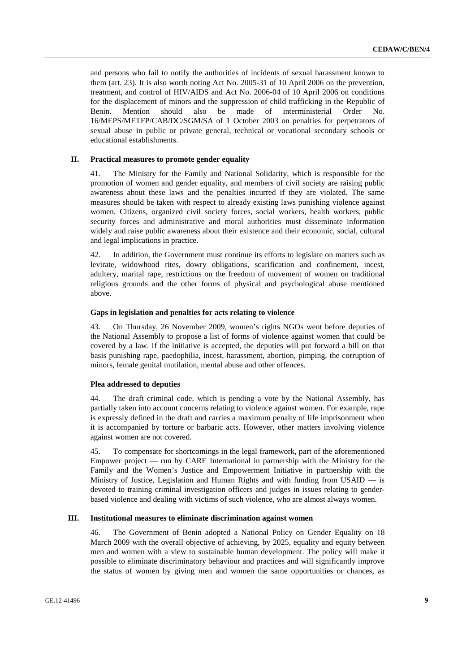and persons who fail to notify the authorities of incidents of sexual harassment known to them (art. 23). It is also worth noting Act No. 2005-31 of 10 April 2006 on the prevention, treatment, and control of HIV/AIDS and Act No. 2006-04 of 10 April 2006 on conditions for the displacement of minors and the suppression of child trafficking in the Republic of Benin. Mention should also be made of interministerial Order No. 16/MEPS/METFP/CAB/DC/SGM/SA of 1 October 2003 on penalties for perpetrators of sexual abuse in public or private general, technical or vocational secondary schools or educational establishments.

#### **II. Practical measures to promote gender equality**

41. The Ministry for the Family and National Solidarity, which is responsible for the promotion of women and gender equality, and members of civil society are raising public awareness about these laws and the penalties incurred if they are violated. The same measures should be taken with respect to already existing laws punishing violence against women. Citizens, organized civil society forces, social workers, health workers, public security forces and administrative and moral authorities must disseminate information widely and raise public awareness about their existence and their economic, social, cultural and legal implications in practice.

42. In addition, the Government must continue its efforts to legislate on matters such as levirate, widowhood rites, dowry obligations, scarification and confinement, incest, adultery, marital rape, restrictions on the freedom of movement of women on traditional religious grounds and the other forms of physical and psychological abuse mentioned above.

### **Gaps in legislation and penalties for acts relating to violence**

43. On Thursday, 26 November 2009, women's rights NGOs went before deputies of the National Assembly to propose a list of forms of violence against women that could be covered by a law. If the initiative is accepted, the deputies will put forward a bill on that basis punishing rape, paedophilia, incest, harassment, abortion, pimping, the corruption of minors, female genital mutilation, mental abuse and other offences.

### **Plea addressed to deputies**

44. The draft criminal code, which is pending a vote by the National Assembly, has partially taken into account concerns relating to violence against women. For example, rape is expressly defined in the draft and carries a maximum penalty of life imprisonment when it is accompanied by torture or barbaric acts. However, other matters involving violence against women are not covered.

45. To compensate for shortcomings in the legal framework, part of the aforementioned Empower project — run by CARE International in partnership with the Ministry for the Family and the Women's Justice and Empowerment Initiative in partnership with the Ministry of Justice, Legislation and Human Rights and with funding from USAID — is devoted to training criminal investigation officers and judges in issues relating to genderbased violence and dealing with victims of such violence, who are almost always women.

#### **III. Institutional measures to eliminate discrimination against women**

46. The Government of Benin adopted a National Policy on Gender Equality on 18 March 2009 with the overall objective of achieving, by 2025, equality and equity between men and women with a view to sustainable human development. The policy will make it possible to eliminate discriminatory behaviour and practices and will significantly improve the status of women by giving men and women the same opportunities or chances, as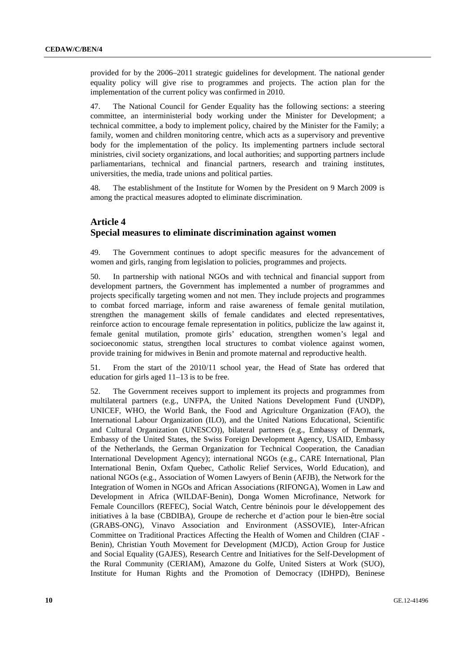provided for by the 2006–2011 strategic guidelines for development. The national gender equality policy will give rise to programmes and projects. The action plan for the implementation of the current policy was confirmed in 2010.

47. The National Council for Gender Equality has the following sections: a steering committee, an interministerial body working under the Minister for Development; a technical committee, a body to implement policy, chaired by the Minister for the Family; a family, women and children monitoring centre, which acts as a supervisory and preventive body for the implementation of the policy. Its implementing partners include sectoral ministries, civil society organizations, and local authorities; and supporting partners include parliamentarians, technical and financial partners, research and training institutes, universities, the media, trade unions and political parties.

48. The establishment of the Institute for Women by the President on 9 March 2009 is among the practical measures adopted to eliminate discrimination.

### **Article 4 Special measures to eliminate discrimination against women**

49. The Government continues to adopt specific measures for the advancement of women and girls, ranging from legislation to policies, programmes and projects.

50. In partnership with national NGOs and with technical and financial support from development partners, the Government has implemented a number of programmes and projects specifically targeting women and not men. They include projects and programmes to combat forced marriage, inform and raise awareness of female genital mutilation, strengthen the management skills of female candidates and elected representatives, reinforce action to encourage female representation in politics, publicize the law against it, female genital mutilation, promote girls' education, strengthen women's legal and socioeconomic status, strengthen local structures to combat violence against women, provide training for midwives in Benin and promote maternal and reproductive health.

51. From the start of the 2010/11 school year, the Head of State has ordered that education for girls aged 11–13 is to be free.

52. The Government receives support to implement its projects and programmes from multilateral partners (e.g., UNFPA, the United Nations Development Fund (UNDP), UNICEF, WHO, the World Bank, the Food and Agriculture Organization (FAO), the International Labour Organization (ILO), and the United Nations Educational, Scientific and Cultural Organization (UNESCO)), bilateral partners (e.g., Embassy of Denmark, Embassy of the United States, the Swiss Foreign Development Agency, USAID, Embassy of the Netherlands, the German Organization for Technical Cooperation, the Canadian International Development Agency); international NGOs (e.g., CARE International, Plan International Benin, Oxfam Quebec, Catholic Relief Services, World Education), and national NGOs (e.g., Association of Women Lawyers of Benin (AFJB), the Network for the Integration of Women in NGOs and African Associations (RIFONGA), Women in Law and Development in Africa (WILDAF-Benin), Donga Women Microfinance, Network for Female Councillors (REFEC), Social Watch, Centre béninois pour le développement des initiatives à la base (CBDIBA), Groupe de recherche et d'action pour le bien-être social (GRABS-ONG), Vinavo Association and Environment (ASSOVIE), Inter-African Committee on Traditional Practices Affecting the Health of Women and Children (CIAF - Benin), Christian Youth Movement for Development (MJCD), Action Group for Justice and Social Equality (GAJES), Research Centre and Initiatives for the Self-Development of the Rural Community (CERIAM), Amazone du Golfe, United Sisters at Work (SUO), Institute for Human Rights and the Promotion of Democracy (IDHPD), Beninese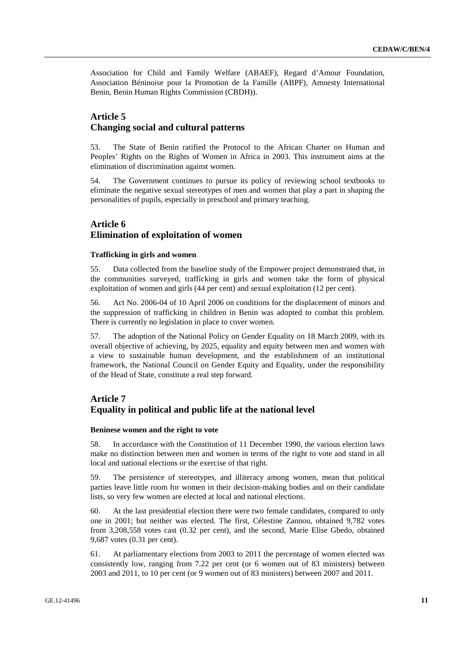Association for Child and Family Welfare (ABAEF), Regard d'Amour Foundation, Association Béninoise pour la Promotion de la Famille (ABPF), Amnesty International Benin, Benin Human Rights Commission (CBDH)).

# **Article 5 Changing social and cultural patterns**

53. The State of Benin ratified the Protocol to the African Charter on Human and Peoples' Rights on the Rights of Women in Africa in 2003. This instrument aims at the elimination of discrimination against women.

54. The Government continues to pursue its policy of reviewing school textbooks to eliminate the negative sexual stereotypes of men and women that play a part in shaping the personalities of pupils, especially in preschool and primary teaching.

# **Article 6 Elimination of exploitation of women**

#### **Trafficking in girls and women**

55. Data collected from the baseline study of the Empower project demonstrated that, in the communities surveyed, trafficking in girls and women take the form of physical exploitation of women and girls (44 per cent) and sexual exploitation (12 per cent).

56. Act No. 2006-04 of 10 April 2006 on conditions for the displacement of minors and the suppression of trafficking in children in Benin was adopted to combat this problem. There is currently no legislation in place to cover women.

57. The adoption of the National Policy on Gender Equality on 18 March 2009, with its overall objective of achieving, by 2025, equality and equity between men and women with a view to sustainable human development, and the establishment of an institutional framework, the National Council on Gender Equity and Equality, under the responsibility of the Head of State, constitute a real step forward.

# **Article 7 Equality in political and public life at the national level**

#### **Beninese women and the right to vote**

58. In accordance with the Constitution of 11 December 1990, the various election laws make no distinction between men and women in terms of the right to vote and stand in all local and national elections or the exercise of that right.

59. The persistence of stereotypes, and illiteracy among women, mean that political parties leave little room for women in their decision-making bodies and on their candidate lists, so very few women are elected at local and national elections.

60. At the last presidential election there were two female candidates, compared to only one in 2001; but neither was elected. The first, Célestine Zannou, obtained 9,782 votes from 3,208,558 votes cast (0.32 per cent), and the second, Marie Elise Gbedo, obtained 9,687 votes (0.31 per cent).

61. At parliamentary elections from 2003 to 2011 the percentage of women elected was consistently low, ranging from 7.22 per cent (or 6 women out of 83 ministers) between 2003 and 2011, to 10 per cent (or 9 women out of 83 ministers) between 2007 and 2011.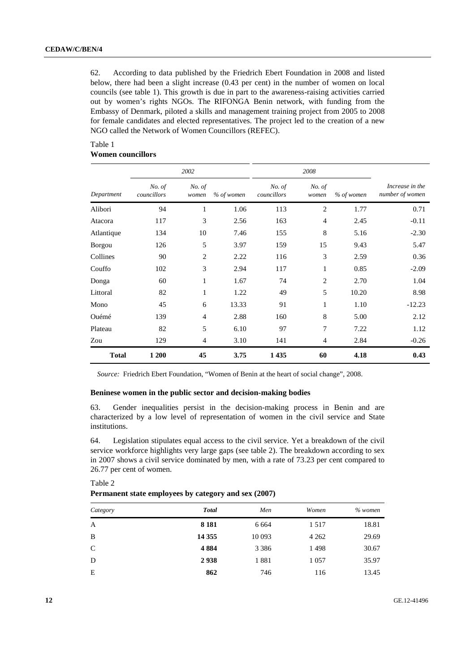62. According to data published by the Friedrich Ebert Foundation in 2008 and listed below, there had been a slight increase (0.43 per cent) in the number of women on local councils (see table 1). This growth is due in part to the awareness-raising activities carried out by women's rights NGOs. The RIFONGA Benin network, with funding from the Embassy of Denmark, piloted a skills and management training project from 2005 to 2008 for female candidates and elected representatives. The project led to the creation of a new NGO called the Network of Women Councillors (REFEC).

### Table 1 **Women councillors**

|               |                       | 2002            |            |                       | 2008            |            |                                    |
|---------------|-----------------------|-----------------|------------|-----------------------|-----------------|------------|------------------------------------|
| Department    | No. of<br>councillors | No. of<br>women | % of women | No. of<br>councillors | No. of<br>women | % of women | Increase in the<br>number of women |
| Alibori       | 94                    | 1               | 1.06       | 113                   | $\overline{2}$  | 1.77       | 0.71                               |
| Atacora       | 117                   | 3               | 2.56       | 163                   | $\overline{4}$  | 2.45       | $-0.11$                            |
| Atlantique    | 134                   | 10              | 7.46       | 155                   | $\,8\,$         | 5.16       | $-2.30$                            |
| <b>Borgou</b> | 126                   | 5               | 3.97       | 159                   | 15              | 9.43       | 5.47                               |
| Collines      | 90                    | $\overline{2}$  | 2.22       | 116                   | 3               | 2.59       | 0.36                               |
| Couffo        | 102                   | 3               | 2.94       | 117                   | 1               | 0.85       | $-2.09$                            |
| Donga         | 60                    | 1               | 1.67       | 74                    | $\overline{2}$  | 2.70       | 1.04                               |
| Littoral      | 82                    | $\mathbf{1}$    | 1.22       | 49                    | 5               | 10.20      | 8.98                               |
| Mono          | 45                    | 6               | 13.33      | 91                    | $\mathbf{1}$    | 1.10       | $-12.23$                           |
| Ouémé         | 139                   | $\overline{4}$  | 2.88       | 160                   | $\,$ 8 $\,$     | 5.00       | 2.12                               |
| Plateau       | 82                    | 5               | 6.10       | 97                    | 7               | 7.22       | 1.12                               |
| Zou           | 129                   | $\overline{4}$  | 3.10       | 141                   | $\overline{4}$  | 2.84       | $-0.26$                            |
| <b>Total</b>  | 1 200                 | 45              | 3.75       | 1 4 3 5               | 60              | 4.18       | 0.43                               |

*Source:* Friedrich Ebert Foundation, "Women of Benin at the heart of social change", 2008.

#### **Beninese women in the public sector and decision-making bodies**

63. Gender inequalities persist in the decision-making process in Benin and are characterized by a low level of representation of women in the civil service and State institutions.

64. Legislation stipulates equal access to the civil service. Yet a breakdown of the civil service workforce highlights very large gaps (see table 2). The breakdown according to sex in 2007 shows a civil service dominated by men, with a rate of 73.23 per cent compared to 26.77 per cent of women.

| Category | <b>T</b> otal | Men     | Women   | $%$ women |
|----------|---------------|---------|---------|-----------|
| A        | 8 1 8 1       | 6 6 6 4 | 1517    | 18.81     |
| B        | 14 3 55       | 10 0 93 | 4 2 6 2 | 29.69     |
| C        | 4884          | 3 3 8 6 | 1498    | 30.67     |
| D        | 2938          | 1881    | 1 0 5 7 | 35.97     |
| Е        | 862           | 746     | 116     | 13.45     |

#### Table 2 **Permanent state employees by category and sex (2007)**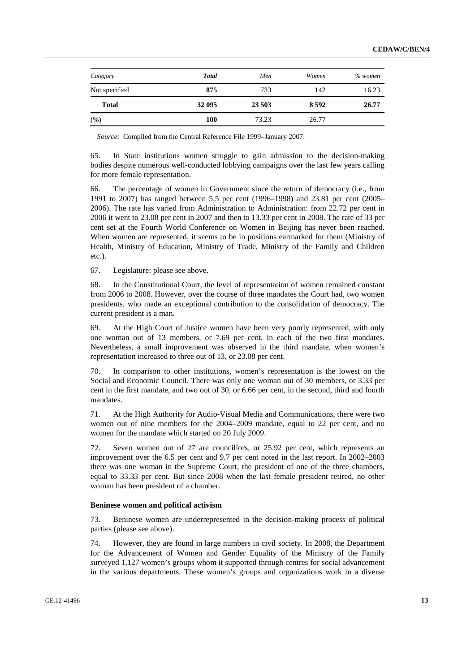| Category      | <b>Total</b> | Men    | Women   | $%$ women |
|---------------|--------------|--------|---------|-----------|
| Not specified | 875          | 733    | 142     | 16.23     |
| <b>Total</b>  | 32 095       | 23 503 | 8 5 9 2 | 26.77     |
| (% )          | 100          | 73.23  | 26.77   |           |

*Source:* Compiled from the Central Reference File 1999–January 2007.

65. In State institutions women struggle to gain admission to the decision-making bodies despite numerous well-conducted lobbying campaigns over the last few years calling for more female representation.

66. The percentage of women in Government since the return of democracy (i.e., from 1991 to 2007) has ranged between 5.5 per cent (1996–1998) and 23.81 per cent (2005– 2006). The rate has varied from Administration to Administration: from 22.72 per cent in 2006 it went to 23.08 per cent in 2007 and then to 13.33 per cent in 2008. The rate of 33 per cent set at the Fourth World Conference on Women in Beijing has never been reached. When women are represented, it seems to be in positions earmarked for them (Ministry of Health, Ministry of Education, Ministry of Trade, Ministry of the Family and Children etc.).

67. Legislature: please see above.

68. In the Constitutional Court, the level of representation of women remained constant from 2006 to 2008. However, over the course of three mandates the Court had, two women presidents, who made an exceptional contribution to the consolidation of democracy. The current president is a man.

69. At the High Court of Justice women have been very poorly represented, with only one woman out of 13 members, or 7.69 per cent, in each of the two first mandates. Nevertheless, a small improvement was observed in the third mandate, when women's representation increased to three out of 13, or 23.08 per cent.

70. In comparison to other institutions, women's representation is the lowest on the Social and Economic Council. There was only one woman out of 30 members, or 3.33 per cent in the first mandate, and two out of 30, or 6.66 per cent, in the second, third and fourth mandates.

71. At the High Authority for Audio-Visual Media and Communications, there were two women out of nine members for the 2004–2009 mandate, equal to 22 per cent, and no women for the mandate which started on 20 July 2009.

72. Seven women out of 27 are councillors, or 25.92 per cent, which represents an improvement over the 6.5 per cent and 9.7 per cent noted in the last report. In 2002–2003 there was one woman in the Supreme Court, the president of one of the three chambers, equal to 33.33 per cent. But since 2008 when the last female president retired, no other woman has been president of a chamber.

#### **Beninese women and political activism**

73. Beninese women are underrepresented in the decision-making process of political parties (please see above).

74. However, they are found in large numbers in civil society. In 2008, the Department for the Advancement of Women and Gender Equality of the Ministry of the Family surveyed 1,127 women's groups whom it supported through centres for social advancement in the various departments. These women's groups and organizations work in a diverse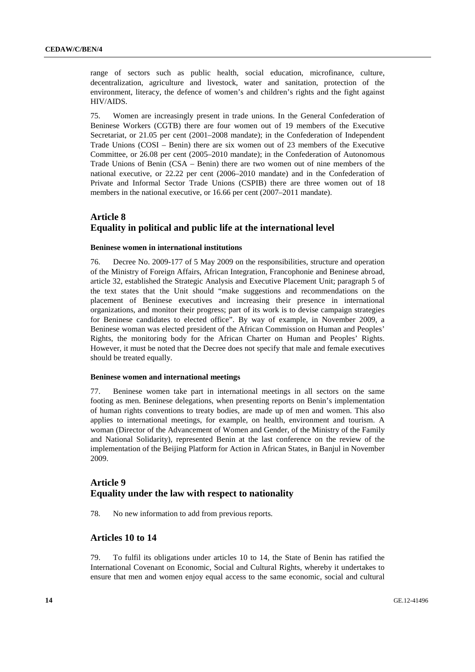range of sectors such as public health, social education, microfinance, culture, decentralization, agriculture and livestock, water and sanitation, protection of the environment, literacy, the defence of women's and children's rights and the fight against HIV/AIDS.

75. Women are increasingly present in trade unions. In the General Confederation of Beninese Workers (CGTB) there are four women out of 19 members of the Executive Secretariat, or 21.05 per cent (2001–2008 mandate); in the Confederation of Independent Trade Unions (COSI – Benin) there are six women out of 23 members of the Executive Committee, or 26.08 per cent (2005–2010 mandate); in the Confederation of Autonomous Trade Unions of Benin (CSA – Benin) there are two women out of nine members of the national executive, or 22.22 per cent (2006–2010 mandate) and in the Confederation of Private and Informal Sector Trade Unions (CSPIB) there are three women out of 18 members in the national executive, or 16.66 per cent (2007–2011 mandate).

# **Article 8 Equality in political and public life at the international level**

#### **Beninese women in international institutions**

76. Decree No. 2009-177 of 5 May 2009 on the responsibilities, structure and operation of the Ministry of Foreign Affairs, African Integration, Francophonie and Beninese abroad, article 32, established the Strategic Analysis and Executive Placement Unit; paragraph 5 of the text states that the Unit should "make suggestions and recommendations on the placement of Beninese executives and increasing their presence in international organizations, and monitor their progress; part of its work is to devise campaign strategies for Beninese candidates to elected office". By way of example, in November 2009, a Beninese woman was elected president of the African Commission on Human and Peoples' Rights, the monitoring body for the African Charter on Human and Peoples' Rights. However, it must be noted that the Decree does not specify that male and female executives should be treated equally.

#### **Beninese women and international meetings**

77. Beninese women take part in international meetings in all sectors on the same footing as men. Beninese delegations, when presenting reports on Benin's implementation of human rights conventions to treaty bodies, are made up of men and women. This also applies to international meetings, for example, on health, environment and tourism. A woman (Director of the Advancement of Women and Gender, of the Ministry of the Family and National Solidarity), represented Benin at the last conference on the review of the implementation of the Beijing Platform for Action in African States, in Banjul in November 2009.

# **Article 9 Equality under the law with respect to nationality**

78. No new information to add from previous reports.

## **Articles 10 to 14**

79. To fulfil its obligations under articles 10 to 14, the State of Benin has ratified the International Covenant on Economic, Social and Cultural Rights, whereby it undertakes to ensure that men and women enjoy equal access to the same economic, social and cultural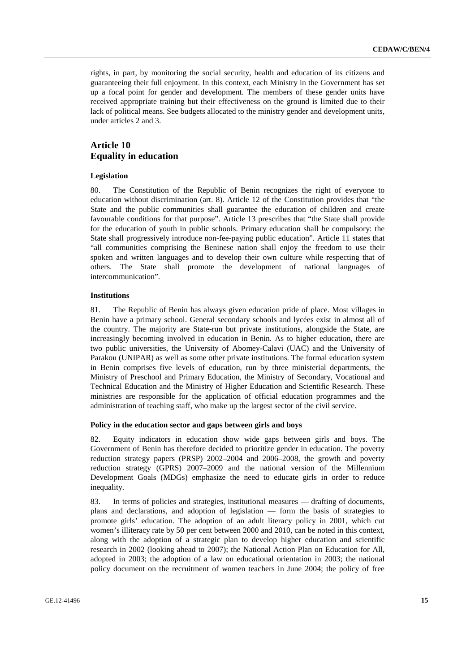rights, in part, by monitoring the social security, health and education of its citizens and guaranteeing their full enjoyment. In this context, each Ministry in the Government has set up a focal point for gender and development. The members of these gender units have received appropriate training but their effectiveness on the ground is limited due to their lack of political means. See budgets allocated to the ministry gender and development units, under articles 2 and 3.

# **Article 10 Equality in education**

#### **Legislation**

80. The Constitution of the Republic of Benin recognizes the right of everyone to education without discrimination (art. 8). Article 12 of the Constitution provides that "the State and the public communities shall guarantee the education of children and create favourable conditions for that purpose". Article 13 prescribes that "the State shall provide for the education of youth in public schools. Primary education shall be compulsory: the State shall progressively introduce non-fee-paying public education". Article 11 states that "all communities comprising the Beninese nation shall enjoy the freedom to use their spoken and written languages and to develop their own culture while respecting that of others. The State shall promote the development of national languages of intercommunication".

#### **Institutions**

81. The Republic of Benin has always given education pride of place. Most villages in Benin have a primary school. General secondary schools and lycées exist in almost all of the country. The majority are State-run but private institutions, alongside the State, are increasingly becoming involved in education in Benin. As to higher education, there are two public universities, the University of Abomey-Calavi (UAC) and the University of Parakou (UNIPAR) as well as some other private institutions. The formal education system in Benin comprises five levels of education, run by three ministerial departments, the Ministry of Preschool and Primary Education, the Ministry of Secondary, Vocational and Technical Education and the Ministry of Higher Education and Scientific Research. These ministries are responsible for the application of official education programmes and the administration of teaching staff, who make up the largest sector of the civil service.

#### **Policy in the education sector and gaps between girls and boys**

82. Equity indicators in education show wide gaps between girls and boys. The Government of Benin has therefore decided to prioritize gender in education. The poverty reduction strategy papers (PRSP) 2002–2004 and 2006–2008, the growth and poverty reduction strategy (GPRS) 2007–2009 and the national version of the Millennium Development Goals (MDGs) emphasize the need to educate girls in order to reduce inequality.

83. In terms of policies and strategies, institutional measures — drafting of documents, plans and declarations, and adoption of legislation — form the basis of strategies to promote girls' education. The adoption of an adult literacy policy in 2001, which cut women's illiteracy rate by 50 per cent between 2000 and 2010, can be noted in this context, along with the adoption of a strategic plan to develop higher education and scientific research in 2002 (looking ahead to 2007); the National Action Plan on Education for All, adopted in 2003; the adoption of a law on educational orientation in 2003; the national policy document on the recruitment of women teachers in June 2004; the policy of free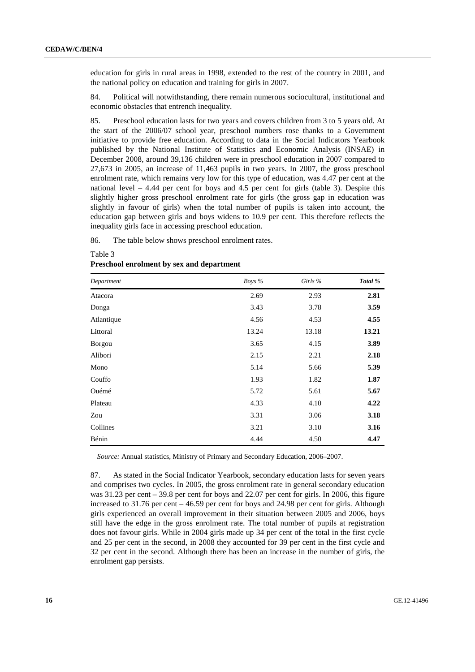education for girls in rural areas in 1998, extended to the rest of the country in 2001, and the national policy on education and training for girls in 2007.

84. Political will notwithstanding, there remain numerous sociocultural, institutional and economic obstacles that entrench inequality.

85. Preschool education lasts for two years and covers children from 3 to 5 years old. At the start of the 2006/07 school year, preschool numbers rose thanks to a Government initiative to provide free education. According to data in the Social Indicators Yearbook published by the National Institute of Statistics and Economic Analysis (INSAE) in December 2008, around 39,136 children were in preschool education in 2007 compared to 27,673 in 2005, an increase of 11,463 pupils in two years. In 2007, the gross preschool enrolment rate, which remains very low for this type of education, was 4.47 per cent at the national level  $-4.44$  per cent for boys and 4.5 per cent for girls (table 3). Despite this slightly higher gross preschool enrolment rate for girls (the gross gap in education was slightly in favour of girls) when the total number of pupils is taken into account, the education gap between girls and boys widens to 10.9 per cent. This therefore reflects the inequality girls face in accessing preschool education.

86. The table below shows preschool enrolment rates.

| Department    | Boys % | Girls % | Total % |
|---------------|--------|---------|---------|
| Atacora       | 2.69   | 2.93    | 2.81    |
| Donga         | 3.43   | 3.78    | 3.59    |
| Atlantique    | 4.56   | 4.53    | 4.55    |
| Littoral      | 13.24  | 13.18   | 13.21   |
| <b>Borgou</b> | 3.65   | 4.15    | 3.89    |
| Alibori       | 2.15   | 2.21    | 2.18    |
| Mono          | 5.14   | 5.66    | 5.39    |
| Couffo        | 1.93   | 1.82    | 1.87    |
| Ouémé         | 5.72   | 5.61    | 5.67    |
| Plateau       | 4.33   | 4.10    | 4.22    |
| Zou           | 3.31   | 3.06    | 3.18    |
| Collines      | 3.21   | 3.10    | 3.16    |
| Bénin         | 4.44   | 4.50    | 4.47    |

#### **Preschool enrolment by sex and department**

Table 3

*Source:* Annual statistics, Ministry of Primary and Secondary Education, 2006–2007.

87. As stated in the Social Indicator Yearbook, secondary education lasts for seven years and comprises two cycles. In 2005, the gross enrolment rate in general secondary education was 31.23 per cent – 39.8 per cent for boys and 22.07 per cent for girls. In 2006, this figure increased to 31.76 per cent – 46.59 per cent for boys and 24.98 per cent for girls. Although girls experienced an overall improvement in their situation between 2005 and 2006, boys still have the edge in the gross enrolment rate. The total number of pupils at registration does not favour girls. While in 2004 girls made up 34 per cent of the total in the first cycle and 25 per cent in the second, in 2008 they accounted for 39 per cent in the first cycle and 32 per cent in the second. Although there has been an increase in the number of girls, the enrolment gap persists.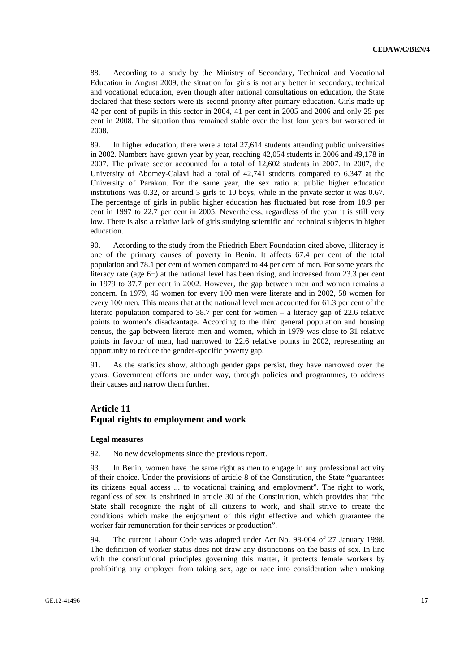88. According to a study by the Ministry of Secondary, Technical and Vocational Education in August 2009, the situation for girls is not any better in secondary, technical and vocational education, even though after national consultations on education, the State declared that these sectors were its second priority after primary education. Girls made up 42 per cent of pupils in this sector in 2004, 41 per cent in 2005 and 2006 and only 25 per cent in 2008. The situation thus remained stable over the last four years but worsened in 2008.

89. In higher education, there were a total 27,614 students attending public universities in 2002. Numbers have grown year by year, reaching 42,054 students in 2006 and 49,178 in 2007. The private sector accounted for a total of 12,602 students in 2007. In 2007, the University of Abomey-Calavi had a total of 42,741 students compared to 6,347 at the University of Parakou. For the same year, the sex ratio at public higher education institutions was 0.32, or around 3 girls to 10 boys, while in the private sector it was 0.67. The percentage of girls in public higher education has fluctuated but rose from 18.9 per cent in 1997 to 22.7 per cent in 2005. Nevertheless, regardless of the year it is still very low. There is also a relative lack of girls studying scientific and technical subjects in higher education.

90. According to the study from the Friedrich Ebert Foundation cited above, illiteracy is one of the primary causes of poverty in Benin. It affects 67.4 per cent of the total population and 78.1 per cent of women compared to 44 per cent of men. For some years the literacy rate (age 6+) at the national level has been rising, and increased from 23.3 per cent in 1979 to 37.7 per cent in 2002. However, the gap between men and women remains a concern. In 1979, 46 women for every 100 men were literate and in 2002, 58 women for every 100 men. This means that at the national level men accounted for 61.3 per cent of the literate population compared to 38.7 per cent for women – a literacy gap of 22.6 relative points to women's disadvantage. According to the third general population and housing census, the gap between literate men and women, which in 1979 was close to 31 relative points in favour of men, had narrowed to 22.6 relative points in 2002, representing an opportunity to reduce the gender-specific poverty gap.

91. As the statistics show, although gender gaps persist, they have narrowed over the years. Government efforts are under way, through policies and programmes, to address their causes and narrow them further.

# **Article 11 Equal rights to employment and work**

#### **Legal measures**

92. No new developments since the previous report.

93. In Benin, women have the same right as men to engage in any professional activity of their choice. Under the provisions of article 8 of the Constitution, the State "guarantees its citizens equal access ... to vocational training and employment". The right to work, regardless of sex, is enshrined in article 30 of the Constitution, which provides that "the State shall recognize the right of all citizens to work, and shall strive to create the conditions which make the enjoyment of this right effective and which guarantee the worker fair remuneration for their services or production".

94. The current Labour Code was adopted under Act No. 98-004 of 27 January 1998. The definition of worker status does not draw any distinctions on the basis of sex. In line with the constitutional principles governing this matter, it protects female workers by prohibiting any employer from taking sex, age or race into consideration when making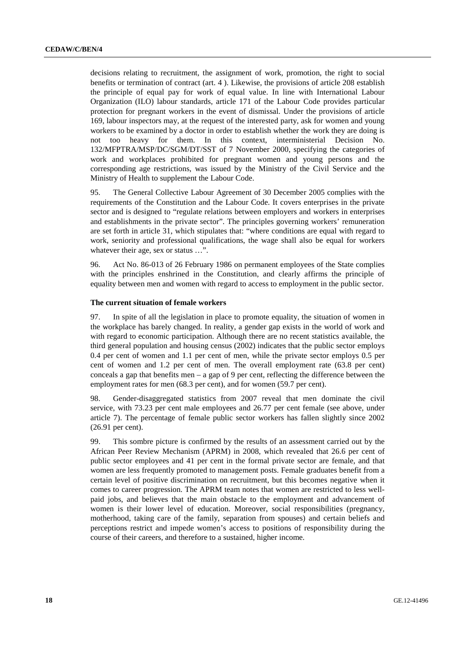decisions relating to recruitment, the assignment of work, promotion, the right to social benefits or termination of contract (art. 4 ). Likewise, the provisions of article 208 establish the principle of equal pay for work of equal value. In line with International Labour Organization (ILO) labour standards, article 171 of the Labour Code provides particular protection for pregnant workers in the event of dismissal. Under the provisions of article 169, labour inspectors may, at the request of the interested party, ask for women and young workers to be examined by a doctor in order to establish whether the work they are doing is not too heavy for them. In this context, interministerial Decision No. 132/MFPTRA/MSP/DC/SGM/DT/SST of 7 November 2000, specifying the categories of work and workplaces prohibited for pregnant women and young persons and the corresponding age restrictions, was issued by the Ministry of the Civil Service and the Ministry of Health to supplement the Labour Code.

95. The General Collective Labour Agreement of 30 December 2005 complies with the requirements of the Constitution and the Labour Code. It covers enterprises in the private sector and is designed to "regulate relations between employers and workers in enterprises and establishments in the private sector". The principles governing workers' remuneration are set forth in article 31, which stipulates that: "where conditions are equal with regard to work, seniority and professional qualifications, the wage shall also be equal for workers whatever their age, sex or status ...".

96. Act No. 86-013 of 26 February 1986 on permanent employees of the State complies with the principles enshrined in the Constitution, and clearly affirms the principle of equality between men and women with regard to access to employment in the public sector.

### **The current situation of female workers**

97. In spite of all the legislation in place to promote equality, the situation of women in the workplace has barely changed. In reality, a gender gap exists in the world of work and with regard to economic participation. Although there are no recent statistics available, the third general population and housing census (2002) indicates that the public sector employs 0.4 per cent of women and 1.1 per cent of men, while the private sector employs 0.5 per cent of women and 1.2 per cent of men. The overall employment rate (63.8 per cent) conceals a gap that benefits men – a gap of 9 per cent, reflecting the difference between the employment rates for men (68.3 per cent), and for women (59.7 per cent).

98. Gender-disaggregated statistics from 2007 reveal that men dominate the civil service, with 73.23 per cent male employees and 26.77 per cent female (see above, under article 7). The percentage of female public sector workers has fallen slightly since 2002 (26.91 per cent).

99. This sombre picture is confirmed by the results of an assessment carried out by the African Peer Review Mechanism (APRM) in 2008, which revealed that 26.6 per cent of public sector employees and 41 per cent in the formal private sector are female, and that women are less frequently promoted to management posts. Female graduates benefit from a certain level of positive discrimination on recruitment, but this becomes negative when it comes to career progression. The APRM team notes that women are restricted to less wellpaid jobs, and believes that the main obstacle to the employment and advancement of women is their lower level of education. Moreover, social responsibilities (pregnancy, motherhood, taking care of the family, separation from spouses) and certain beliefs and perceptions restrict and impede women's access to positions of responsibility during the course of their careers, and therefore to a sustained, higher income.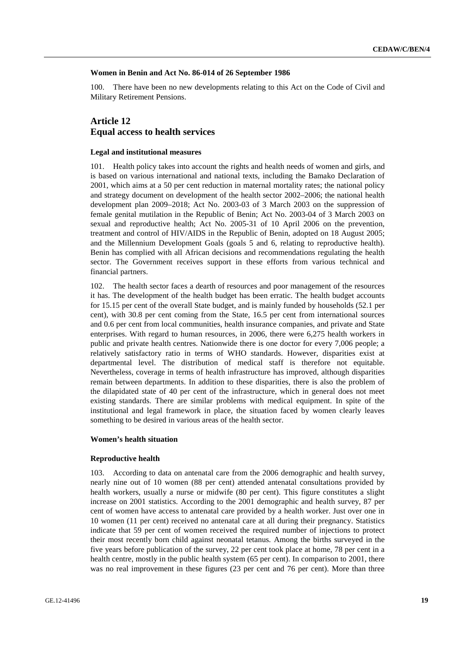#### **Women in Benin and Act No. 86-014 of 26 September 1986**

100. There have been no new developments relating to this Act on the Code of Civil and Military Retirement Pensions.

## **Article 12 Equal access to health services**

#### **Legal and institutional measures**

101. Health policy takes into account the rights and health needs of women and girls, and is based on various international and national texts, including the Bamako Declaration of 2001, which aims at a 50 per cent reduction in maternal mortality rates; the national policy and strategy document on development of the health sector 2002–2006; the national health development plan 2009–2018; Act No. 2003-03 of 3 March 2003 on the suppression of female genital mutilation in the Republic of Benin; Act No. 2003-04 of 3 March 2003 on sexual and reproductive health; Act No. 2005-31 of 10 April 2006 on the prevention, treatment and control of HIV/AIDS in the Republic of Benin, adopted on 18 August 2005; and the Millennium Development Goals (goals 5 and 6, relating to reproductive health). Benin has complied with all African decisions and recommendations regulating the health sector. The Government receives support in these efforts from various technical and financial partners.

102. The health sector faces a dearth of resources and poor management of the resources it has. The development of the health budget has been erratic. The health budget accounts for 15.15 per cent of the overall State budget, and is mainly funded by households (52.1 per cent), with 30.8 per cent coming from the State, 16.5 per cent from international sources and 0.6 per cent from local communities, health insurance companies, and private and State enterprises. With regard to human resources, in 2006, there were 6,275 health workers in public and private health centres. Nationwide there is one doctor for every 7,006 people; a relatively satisfactory ratio in terms of WHO standards. However, disparities exist at departmental level. The distribution of medical staff is therefore not equitable. Nevertheless, coverage in terms of health infrastructure has improved, although disparities remain between departments. In addition to these disparities, there is also the problem of the dilapidated state of 40 per cent of the infrastructure, which in general does not meet existing standards. There are similar problems with medical equipment. In spite of the institutional and legal framework in place, the situation faced by women clearly leaves something to be desired in various areas of the health sector.

#### **Women's health situation**

#### **Reproductive health**

103. According to data on antenatal care from the 2006 demographic and health survey, nearly nine out of 10 women (88 per cent) attended antenatal consultations provided by health workers, usually a nurse or midwife (80 per cent). This figure constitutes a slight increase on 2001 statistics. According to the 2001 demographic and health survey, 87 per cent of women have access to antenatal care provided by a health worker. Just over one in 10 women (11 per cent) received no antenatal care at all during their pregnancy. Statistics indicate that 59 per cent of women received the required number of injections to protect their most recently born child against neonatal tetanus. Among the births surveyed in the five years before publication of the survey, 22 per cent took place at home, 78 per cent in a health centre, mostly in the public health system (65 per cent). In comparison to 2001, there was no real improvement in these figures (23 per cent and 76 per cent). More than three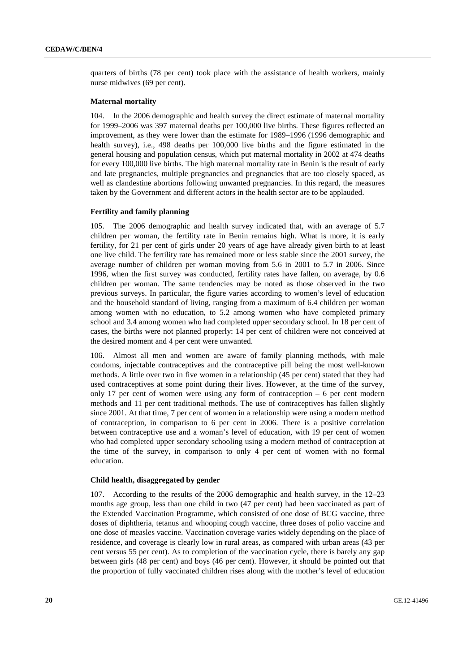quarters of births (78 per cent) took place with the assistance of health workers, mainly nurse midwives (69 per cent).

### **Maternal mortality**

104. In the 2006 demographic and health survey the direct estimate of maternal mortality for 1999–2006 was 397 maternal deaths per 100,000 live births. These figures reflected an improvement, as they were lower than the estimate for 1989–1996 (1996 demographic and health survey), i.e., 498 deaths per 100,000 live births and the figure estimated in the general housing and population census, which put maternal mortality in 2002 at 474 deaths for every 100,000 live births. The high maternal mortality rate in Benin is the result of early and late pregnancies, multiple pregnancies and pregnancies that are too closely spaced, as well as clandestine abortions following unwanted pregnancies. In this regard, the measures taken by the Government and different actors in the health sector are to be applauded.

#### **Fertility and family planning**

105. The 2006 demographic and health survey indicated that, with an average of 5.7 children per woman, the fertility rate in Benin remains high. What is more, it is early fertility, for 21 per cent of girls under 20 years of age have already given birth to at least one live child. The fertility rate has remained more or less stable since the 2001 survey, the average number of children per woman moving from 5.6 in 2001 to 5.7 in 2006. Since 1996, when the first survey was conducted, fertility rates have fallen, on average, by 0.6 children per woman. The same tendencies may be noted as those observed in the two previous surveys. In particular, the figure varies according to women's level of education and the household standard of living, ranging from a maximum of 6.4 children per woman among women with no education, to 5.2 among women who have completed primary school and 3.4 among women who had completed upper secondary school. In 18 per cent of cases, the births were not planned properly: 14 per cent of children were not conceived at the desired moment and 4 per cent were unwanted.

106. Almost all men and women are aware of family planning methods, with male condoms, injectable contraceptives and the contraceptive pill being the most well-known methods. A little over two in five women in a relationship (45 per cent) stated that they had used contraceptives at some point during their lives. However, at the time of the survey, only 17 per cent of women were using any form of contraception  $-6$  per cent modern methods and 11 per cent traditional methods. The use of contraceptives has fallen slightly since 2001. At that time, 7 per cent of women in a relationship were using a modern method of contraception, in comparison to 6 per cent in 2006. There is a positive correlation between contraceptive use and a woman's level of education, with 19 per cent of women who had completed upper secondary schooling using a modern method of contraception at the time of the survey, in comparison to only 4 per cent of women with no formal education.

#### **Child health, disaggregated by gender**

107. According to the results of the 2006 demographic and health survey, in the 12–23 months age group, less than one child in two (47 per cent) had been vaccinated as part of the Extended Vaccination Programme, which consisted of one dose of BCG vaccine, three doses of diphtheria, tetanus and whooping cough vaccine, three doses of polio vaccine and one dose of measles vaccine. Vaccination coverage varies widely depending on the place of residence, and coverage is clearly low in rural areas, as compared with urban areas (43 per cent versus 55 per cent). As to completion of the vaccination cycle, there is barely any gap between girls (48 per cent) and boys (46 per cent). However, it should be pointed out that the proportion of fully vaccinated children rises along with the mother's level of education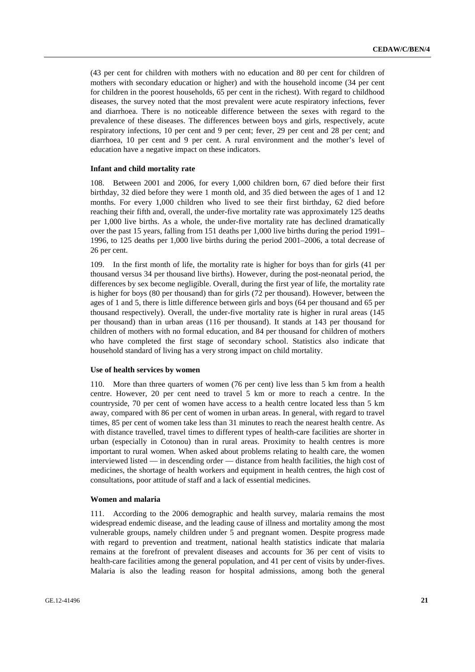(43 per cent for children with mothers with no education and 80 per cent for children of mothers with secondary education or higher) and with the household income (34 per cent for children in the poorest households, 65 per cent in the richest). With regard to childhood diseases, the survey noted that the most prevalent were acute respiratory infections, fever and diarrhoea. There is no noticeable difference between the sexes with regard to the prevalence of these diseases. The differences between boys and girls, respectively, acute respiratory infections, 10 per cent and 9 per cent; fever, 29 per cent and 28 per cent; and diarrhoea, 10 per cent and 9 per cent. A rural environment and the mother's level of education have a negative impact on these indicators.

#### **Infant and child mortality rate**

108. Between 2001 and 2006, for every 1,000 children born, 67 died before their first birthday, 32 died before they were 1 month old, and 35 died between the ages of 1 and 12 months. For every 1,000 children who lived to see their first birthday, 62 died before reaching their fifth and, overall, the under-five mortality rate was approximately 125 deaths per 1,000 live births. As a whole, the under-five mortality rate has declined dramatically over the past 15 years, falling from 151 deaths per 1,000 live births during the period 1991– 1996, to 125 deaths per 1,000 live births during the period 2001–2006, a total decrease of 26 per cent.

109. In the first month of life, the mortality rate is higher for boys than for girls (41 per thousand versus 34 per thousand live births). However, during the post-neonatal period, the differences by sex become negligible. Overall, during the first year of life, the mortality rate is higher for boys (80 per thousand) than for girls (72 per thousand). However, between the ages of 1 and 5, there is little difference between girls and boys (64 per thousand and 65 per thousand respectively). Overall, the under-five mortality rate is higher in rural areas (145 per thousand) than in urban areas (116 per thousand). It stands at 143 per thousand for children of mothers with no formal education, and 84 per thousand for children of mothers who have completed the first stage of secondary school. Statistics also indicate that household standard of living has a very strong impact on child mortality.

#### **Use of health services by women**

110. More than three quarters of women (76 per cent) live less than 5 km from a health centre. However, 20 per cent need to travel 5 km or more to reach a centre. In the countryside, 70 per cent of women have access to a health centre located less than 5 km away, compared with 86 per cent of women in urban areas. In general, with regard to travel times, 85 per cent of women take less than 31 minutes to reach the nearest health centre. As with distance travelled, travel times to different types of health-care facilities are shorter in urban (especially in Cotonou) than in rural areas. Proximity to health centres is more important to rural women. When asked about problems relating to health care, the women interviewed listed — in descending order — distance from health facilities, the high cost of medicines, the shortage of health workers and equipment in health centres, the high cost of consultations, poor attitude of staff and a lack of essential medicines.

#### **Women and malaria**

111. According to the 2006 demographic and health survey, malaria remains the most widespread endemic disease, and the leading cause of illness and mortality among the most vulnerable groups, namely children under 5 and pregnant women. Despite progress made with regard to prevention and treatment, national health statistics indicate that malaria remains at the forefront of prevalent diseases and accounts for 36 per cent of visits to health-care facilities among the general population, and 41 per cent of visits by under-fives. Malaria is also the leading reason for hospital admissions, among both the general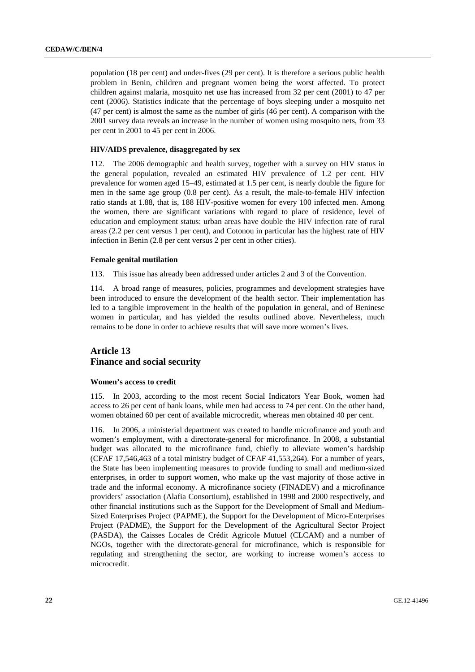population (18 per cent) and under-fives (29 per cent). It is therefore a serious public health problem in Benin, children and pregnant women being the worst affected. To protect children against malaria, mosquito net use has increased from 32 per cent (2001) to 47 per cent (2006). Statistics indicate that the percentage of boys sleeping under a mosquito net (47 per cent) is almost the same as the number of girls (46 per cent). A comparison with the 2001 survey data reveals an increase in the number of women using mosquito nets, from 33 per cent in 2001 to 45 per cent in 2006.

#### **HIV/AIDS prevalence, disaggregated by sex**

112. The 2006 demographic and health survey, together with a survey on HIV status in the general population, revealed an estimated HIV prevalence of 1.2 per cent. HIV prevalence for women aged 15–49, estimated at 1.5 per cent, is nearly double the figure for men in the same age group (0.8 per cent). As a result, the male-to-female HIV infection ratio stands at 1.88, that is, 188 HIV-positive women for every 100 infected men. Among the women, there are significant variations with regard to place of residence, level of education and employment status: urban areas have double the HIV infection rate of rural areas (2.2 per cent versus 1 per cent), and Cotonou in particular has the highest rate of HIV infection in Benin (2.8 per cent versus 2 per cent in other cities).

#### **Female genital mutilation**

113. This issue has already been addressed under articles 2 and 3 of the Convention.

114. A broad range of measures, policies, programmes and development strategies have been introduced to ensure the development of the health sector. Their implementation has led to a tangible improvement in the health of the population in general, and of Beninese women in particular, and has yielded the results outlined above. Nevertheless, much remains to be done in order to achieve results that will save more women's lives.

## **Article 13 Finance and social security**

### **Women's access to credit**

115. In 2003, according to the most recent Social Indicators Year Book, women had access to 26 per cent of bank loans, while men had access to 74 per cent. On the other hand, women obtained 60 per cent of available microcredit, whereas men obtained 40 per cent.

116. In 2006, a ministerial department was created to handle microfinance and youth and women's employment, with a directorate-general for microfinance. In 2008, a substantial budget was allocated to the microfinance fund, chiefly to alleviate women's hardship (CFAF 17,546,463 of a total ministry budget of CFAF 41,553,264). For a number of years, the State has been implementing measures to provide funding to small and medium-sized enterprises, in order to support women, who make up the vast majority of those active in trade and the informal economy. A microfinance society (FINADEV) and a microfinance providers' association (Alafia Consortium), established in 1998 and 2000 respectively, and other financial institutions such as the Support for the Development of Small and Medium-Sized Enterprises Project (PAPME), the Support for the Development of Micro-Enterprises Project (PADME), the Support for the Development of the Agricultural Sector Project (PASDA), the Caisses Locales de Crédit Agricole Mutuel (CLCAM) and a number of NGOs, together with the directorate-general for microfinance, which is responsible for regulating and strengthening the sector, are working to increase women's access to microcredit.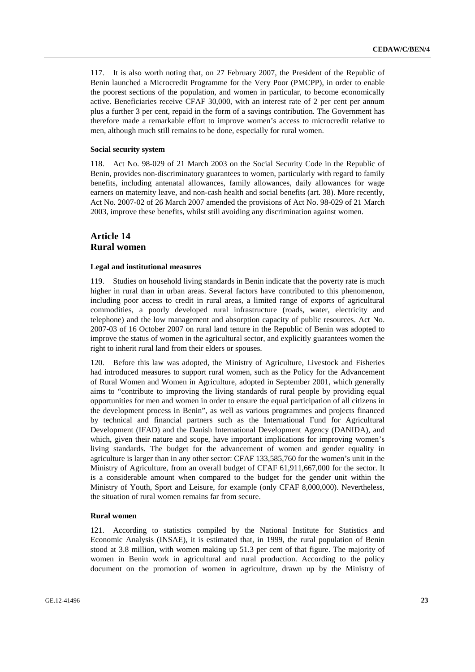117. It is also worth noting that, on 27 February 2007, the President of the Republic of Benin launched a Microcredit Programme for the Very Poor (PMCPP), in order to enable the poorest sections of the population, and women in particular, to become economically active. Beneficiaries receive CFAF 30,000, with an interest rate of 2 per cent per annum plus a further 3 per cent, repaid in the form of a savings contribution. The Government has therefore made a remarkable effort to improve women's access to microcredit relative to men, although much still remains to be done, especially for rural women.

#### **Social security system**

118. Act No. 98-029 of 21 March 2003 on the Social Security Code in the Republic of Benin, provides non-discriminatory guarantees to women, particularly with regard to family benefits, including antenatal allowances, family allowances, daily allowances for wage earners on maternity leave, and non-cash health and social benefits (art. 38). More recently, Act No. 2007-02 of 26 March 2007 amended the provisions of Act No. 98-029 of 21 March 2003, improve these benefits, whilst still avoiding any discrimination against women.

### **Article 14 Rural women**

#### **Legal and institutional measures**

119. Studies on household living standards in Benin indicate that the poverty rate is much higher in rural than in urban areas. Several factors have contributed to this phenomenon, including poor access to credit in rural areas, a limited range of exports of agricultural commodities, a poorly developed rural infrastructure (roads, water, electricity and telephone) and the low management and absorption capacity of public resources. Act No. 2007-03 of 16 October 2007 on rural land tenure in the Republic of Benin was adopted to improve the status of women in the agricultural sector, and explicitly guarantees women the right to inherit rural land from their elders or spouses.

120. Before this law was adopted, the Ministry of Agriculture, Livestock and Fisheries had introduced measures to support rural women, such as the Policy for the Advancement of Rural Women and Women in Agriculture, adopted in September 2001, which generally aims to "contribute to improving the living standards of rural people by providing equal opportunities for men and women in order to ensure the equal participation of all citizens in the development process in Benin", as well as various programmes and projects financed by technical and financial partners such as the International Fund for Agricultural Development (IFAD) and the Danish International Development Agency (DANIDA), and which, given their nature and scope, have important implications for improving women's living standards. The budget for the advancement of women and gender equality in agriculture is larger than in any other sector: CFAF 133,585,760 for the women's unit in the Ministry of Agriculture, from an overall budget of CFAF 61,911,667,000 for the sector. It is a considerable amount when compared to the budget for the gender unit within the Ministry of Youth, Sport and Leisure, for example (only CFAF 8,000,000). Nevertheless, the situation of rural women remains far from secure.

#### **Rural women**

121. According to statistics compiled by the National Institute for Statistics and Economic Analysis (INSAE), it is estimated that, in 1999, the rural population of Benin stood at 3.8 million, with women making up 51.3 per cent of that figure. The majority of women in Benin work in agricultural and rural production. According to the policy document on the promotion of women in agriculture, drawn up by the Ministry of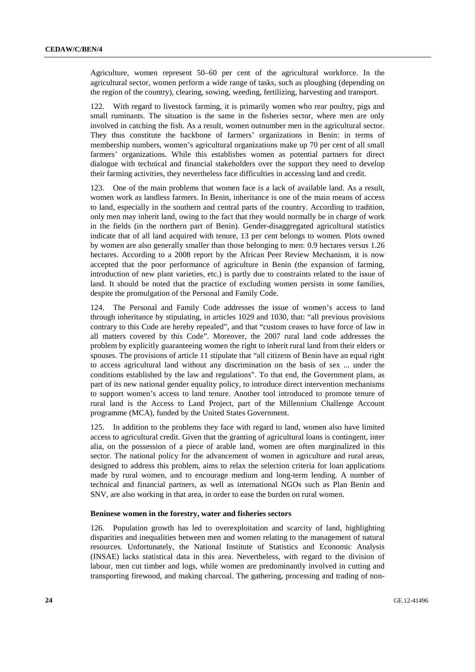Agriculture, women represent 50–60 per cent of the agricultural workforce. In the agricultural sector, women perform a wide range of tasks, such as ploughing (depending on the region of the country), clearing, sowing, weeding, fertilizing, harvesting and transport.

122. With regard to livestock farming, it is primarily women who rear poultry, pigs and small ruminants. The situation is the same in the fisheries sector, where men are only involved in catching the fish. As a result, women outnumber men in the agricultural sector. They thus constitute the backbone of farmers' organizations in Benin: in terms of membership numbers, women's agricultural organizations make up 70 per cent of all small farmers' organizations. While this establishes women as potential partners for direct dialogue with technical and financial stakeholders over the support they need to develop their farming activities, they nevertheless face difficulties in accessing land and credit.

123. One of the main problems that women face is a lack of available land. As a result, women work as landless farmers. In Benin, inheritance is one of the main means of access to land, especially in the southern and central parts of the country. According to tradition, only men may inherit land, owing to the fact that they would normally be in charge of work in the fields (in the northern part of Benin). Gender-disaggregated agricultural statistics indicate that of all land acquired with tenure, 13 per cent belongs to women. Plots owned by women are also generally smaller than those belonging to men: 0.9 hectares versus 1.26 hectares. According to a 2008 report by the African Peer Review Mechanism, it is now accepted that the poor performance of agriculture in Benin (the expansion of farming, introduction of new plant varieties, etc.) is partly due to constraints related to the issue of land. It should be noted that the practice of excluding women persists in some families, despite the promulgation of the Personal and Family Code.

124. The Personal and Family Code addresses the issue of women's access to land through inheritance by stipulating, in articles 1029 and 1030, that: "all previous provisions contrary to this Code are hereby repealed", and that "custom ceases to have force of law in all matters covered by this Code". Moreover, the 2007 rural land code addresses the problem by explicitly guaranteeing women the right to inherit rural land from their elders or spouses. The provisions of article 11 stipulate that "all citizens of Benin have an equal right to access agricultural land without any discrimination on the basis of sex ... under the conditions established by the law and regulations". To that end, the Government plans, as part of its new national gender equality policy, to introduce direct intervention mechanisms to support women's access to land tenure. Another tool introduced to promote tenure of rural land is the Access to Land Project, part of the Millennium Challenge Account programme (MCA), funded by the United States Government.

125. In addition to the problems they face with regard to land, women also have limited access to agricultural credit. Given that the granting of agricultural loans is contingent, inter alia, on the possession of a piece of arable land, women are often marginalized in this sector. The national policy for the advancement of women in agriculture and rural areas, designed to address this problem, aims to relax the selection criteria for loan applications made by rural women, and to encourage medium and long-term lending. A number of technical and financial partners, as well as international NGOs such as Plan Benin and SNV, are also working in that area, in order to ease the burden on rural women.

#### **Beninese women in the forestry, water and fisheries sectors**

126. Population growth has led to overexploitation and scarcity of land, highlighting disparities and inequalities between men and women relating to the management of natural resources. Unfortunately, the National Institute of Statistics and Economic Analysis (INSAE) lacks statistical data in this area. Nevertheless, with regard to the division of labour, men cut timber and logs, while women are predominantly involved in cutting and transporting firewood, and making charcoal. The gathering, processing and trading of non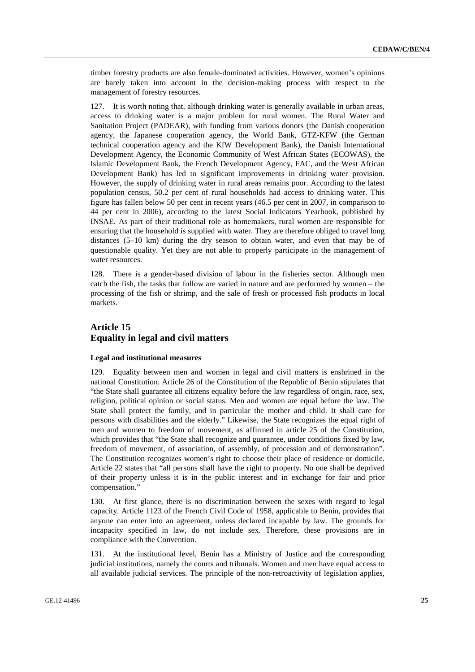timber forestry products are also female-dominated activities. However, women's opinions are barely taken into account in the decision-making process with respect to the management of forestry resources.

127. It is worth noting that, although drinking water is generally available in urban areas, access to drinking water is a major problem for rural women. The Rural Water and Sanitation Project (PADEAR), with funding from various donors (the Danish cooperation agency, the Japanese cooperation agency, the World Bank, GTZ-KFW (the German technical cooperation agency and the KfW Development Bank), the Danish International Development Agency, the Economic Community of West African States (ECOWAS), the Islamic Development Bank, the French Development Agency, FAC, and the West African Development Bank) has led to significant improvements in drinking water provision. However, the supply of drinking water in rural areas remains poor. According to the latest population census, 50.2 per cent of rural households had access to drinking water. This figure has fallen below 50 per cent in recent years (46.5 per cent in 2007, in comparison to 44 per cent in 2006), according to the latest Social Indicators Yearbook, published by INSAE. As part of their traditional role as homemakers, rural women are responsible for ensuring that the household is supplied with water. They are therefore obliged to travel long distances (5–10 km) during the dry season to obtain water, and even that may be of questionable quality. Yet they are not able to properly participate in the management of water resources.

128. There is a gender-based division of labour in the fisheries sector. Although men catch the fish, the tasks that follow are varied in nature and are performed by women – the processing of the fish or shrimp, and the sale of fresh or processed fish products in local markets.

# **Article 15 Equality in legal and civil matters**

#### **Legal and institutional measures**

129. Equality between men and women in legal and civil matters is enshrined in the national Constitution. Article 26 of the Constitution of the Republic of Benin stipulates that "the State shall guarantee all citizens equality before the law regardless of origin, race, sex, religion, political opinion or social status. Men and women are equal before the law. The State shall protect the family, and in particular the mother and child. It shall care for persons with disabilities and the elderly." Likewise, the State recognizes the equal right of men and women to freedom of movement, as affirmed in article 25 of the Constitution, which provides that "the State shall recognize and guarantee, under conditions fixed by law, freedom of movement, of association, of assembly, of procession and of demonstration". The Constitution recognizes women's right to choose their place of residence or domicile. Article 22 states that "all persons shall have the right to property. No one shall be deprived of their property unless it is in the public interest and in exchange for fair and prior compensation."

130. At first glance, there is no discrimination between the sexes with regard to legal capacity. Article 1123 of the French Civil Code of 1958, applicable to Benin, provides that anyone can enter into an agreement, unless declared incapable by law. The grounds for incapacity specified in law, do not include sex. Therefore, these provisions are in compliance with the Convention.

131. At the institutional level, Benin has a Ministry of Justice and the corresponding judicial institutions, namely the courts and tribunals. Women and men have equal access to all available judicial services. The principle of the non-retroactivity of legislation applies,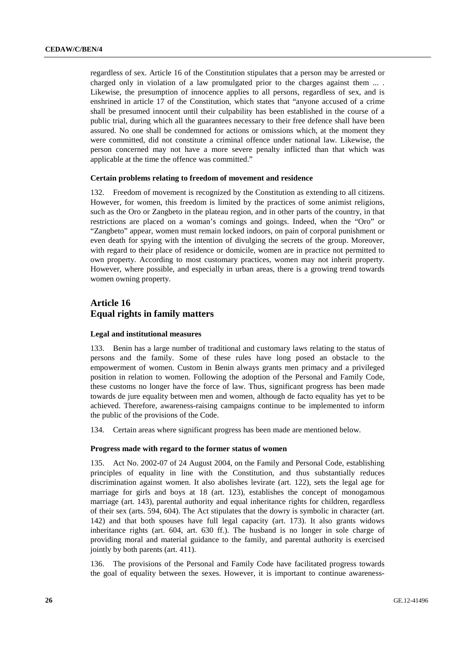regardless of sex. Article 16 of the Constitution stipulates that a person may be arrested or charged only in violation of a law promulgated prior to the charges against them ... . Likewise, the presumption of innocence applies to all persons, regardless of sex, and is enshrined in article 17 of the Constitution, which states that "anyone accused of a crime shall be presumed innocent until their culpability has been established in the course of a public trial, during which all the guarantees necessary to their free defence shall have been assured. No one shall be condemned for actions or omissions which, at the moment they were committed, did not constitute a criminal offence under national law. Likewise, the person concerned may not have a more severe penalty inflicted than that which was applicable at the time the offence was committed."

#### **Certain problems relating to freedom of movement and residence**

132. Freedom of movement is recognized by the Constitution as extending to all citizens. However, for women, this freedom is limited by the practices of some animist religions, such as the Oro or Zangbeto in the plateau region, and in other parts of the country, in that restrictions are placed on a woman's comings and goings. Indeed, when the "Oro" or "Zangbeto" appear, women must remain locked indoors, on pain of corporal punishment or even death for spying with the intention of divulging the secrets of the group. Moreover, with regard to their place of residence or domicile, women are in practice not permitted to own property. According to most customary practices, women may not inherit property. However, where possible, and especially in urban areas, there is a growing trend towards women owning property.

# **Article 16 Equal rights in family matters**

#### **Legal and institutional measures**

133. Benin has a large number of traditional and customary laws relating to the status of persons and the family. Some of these rules have long posed an obstacle to the empowerment of women. Custom in Benin always grants men primacy and a privileged position in relation to women. Following the adoption of the Personal and Family Code, these customs no longer have the force of law. Thus, significant progress has been made towards de jure equality between men and women, although de facto equality has yet to be achieved. Therefore, awareness-raising campaigns continue to be implemented to inform the public of the provisions of the Code.

134. Certain areas where significant progress has been made are mentioned below.

#### **Progress made with regard to the former status of women**

135. Act No. 2002-07 of 24 August 2004, on the Family and Personal Code, establishing principles of equality in line with the Constitution, and thus substantially reduces discrimination against women. It also abolishes levirate (art. 122), sets the legal age for marriage for girls and boys at 18 (art. 123), establishes the concept of monogamous marriage (art. 143), parental authority and equal inheritance rights for children, regardless of their sex (arts. 594, 604). The Act stipulates that the dowry is symbolic in character (art. 142) and that both spouses have full legal capacity (art. 173). It also grants widows inheritance rights (art. 604, art. 630 ff.). The husband is no longer in sole charge of providing moral and material guidance to the family, and parental authority is exercised jointly by both parents (art. 411).

136. The provisions of the Personal and Family Code have facilitated progress towards the goal of equality between the sexes. However, it is important to continue awareness